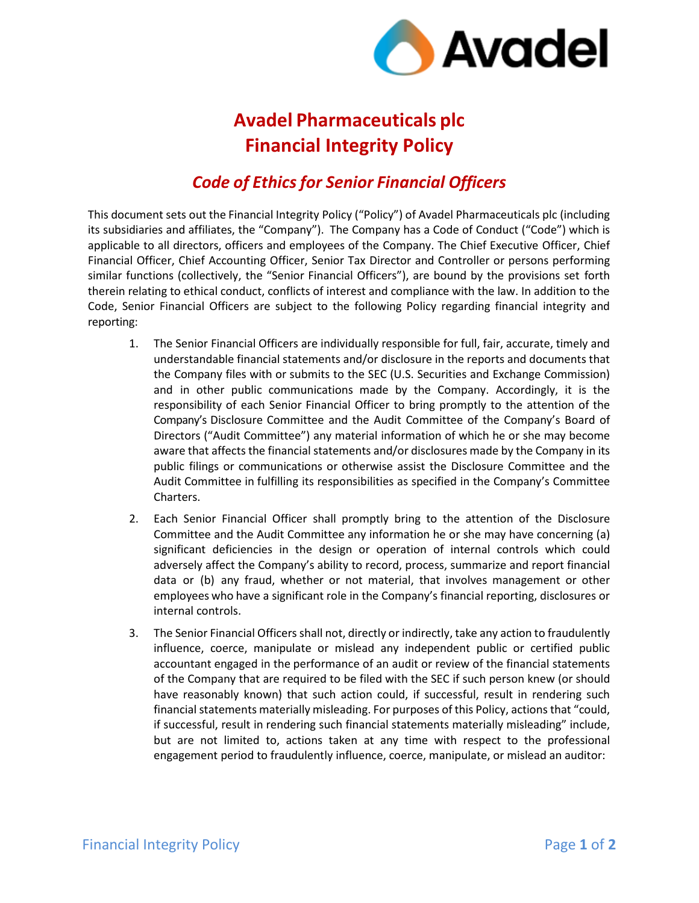

## **Avadel Pharmaceuticals plc Financial Integrity Policy**

## *Code of Ethicsfor Senior Financial Officers*

This document sets out the Financial Integrity Policy ("Policy") of Avadel Pharmaceuticals plc (including its subsidiaries and affiliates, the "Company"). The Company has a Code of Conduct ("Code") which is applicable to all directors, officers and employees of the Company. The Chief Executive Officer, Chief Financial Officer, Chief Accounting Officer, Senior Tax Director and Controller or persons performing similar functions (collectively, the "Senior Financial Officers"), are bound by the provisions set forth therein relating to ethical conduct, conflicts of interest and compliance with the law. In addition to the Code, Senior Financial Officers are subject to the following Policy regarding financial integrity and reporting:

- 1. The Senior Financial Officers are individually responsible for full, fair, accurate, timely and understandable financial statements and/or disclosure in the reports and documents that the Company files with or submits to the SEC (U.S. Securities and Exchange Commission) and in other public communications made by the Company. Accordingly, it is the responsibility of each Senior Financial Officer to bring promptly to the attention of the Company's Disclosure Committee and the Audit Committee of the Company's Board of Directors ("Audit Committee") any material information of which he or she may become aware that affects the financial statements and/or disclosures made by the Company in its public filings or communications or otherwise assist the Disclosure Committee and the Audit Committee in fulfilling its responsibilities as specified in the Company's Committee Charters.
- 2. Each Senior Financial Officer shall promptly bring to the attention of the Disclosure Committee and the Audit Committee any information he or she may have concerning (a) significant deficiencies in the design or operation of internal controls which could adversely affect the Company's ability to record, process, summarize and report financial data or (b) any fraud, whether or not material, that involves management or other employees who have a significant role in the Company's financial reporting, disclosures or internal controls.
- 3. The Senior Financial Officers shall not, directly or indirectly, take any action to fraudulently influence, coerce, manipulate or mislead any independent public or certified public accountant engaged in the performance of an audit or review of the financial statements of the Company that are required to be filed with the SEC if such person knew (or should have reasonably known) that such action could, if successful, result in rendering such financial statements materially misleading. For purposes of this Policy, actions that "could, if successful, result in rendering such financial statements materially misleading" include, but are not limited to, actions taken at any time with respect to the professional engagement period to fraudulently influence, coerce, manipulate, or mislead an auditor: